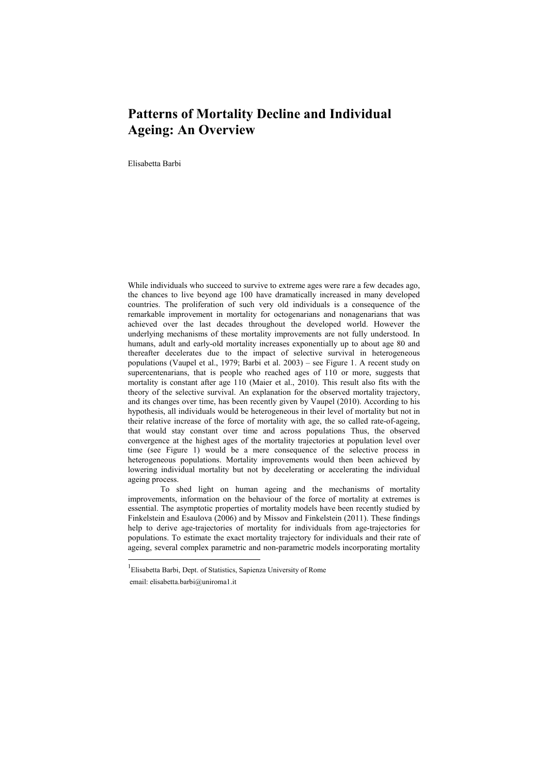## **Patterns of Mortality Decline and Individual Ageing: An Overview**

Elisabetta Barbi

While individuals who succeed to survive to extreme ages were rare a few decades ago, the chances to live beyond age 100 have dramatically increased in many developed countries. The proliferation of such very old individuals is a consequence of the remarkable improvement in mortality for octogenarians and nonagenarians that was achieved over the last decades throughout the developed world. However the underlying mechanisms of these mortality improvements are not fully understood. In humans, adult and early-old mortality increases exponentially up to about age 80 and thereafter decelerates due to the impact of selective survival in heterogeneous populations (Vaupel et al., 1979; Barbi et al. 2003) – see Figure 1. A recent study on supercentenarians, that is people who reached ages of 110 or more, suggests that mortality is constant after age 110 (Maier et al., 2010). This result also fits with the theory of the selective survival. An explanation for the observed mortality trajectory, and its changes over time, has been recently given by Vaupel (2010). According to his hypothesis, all individuals would be heterogeneous in their level of mortality but not in their relative increase of the force of mortality with age, the so called rate-of-ageing, that would stay constant over time and across populations Thus, the observed convergence at the highest ages of the mortality trajectories at population level over time (see Figure 1) would be a mere consequence of the selective process in heterogeneous populations. Mortality improvements would then been achieved by lowering individual mortality but not by decelerating or accelerating the individual ageing process.

 To shed light on human ageing and the mechanisms of mortality improvements, information on the behaviour of the force of mortality at extremes is essential. The asymptotic properties of mortality models have been recently studied by Finkelstein and Esaulova (2006) and by Missov and Finkelstein (2011). These findings help to derive age-trajectories of mortality for individuals from age-trajectories for populations. To estimate the exact mortality trajectory for individuals and their rate of ageing, several complex parametric and non-parametric models incorporating mortality

 $\overline{a}$ 

<sup>1</sup> Elisabetta Barbi, Dept. of Statistics, Sapienza University of Rome

email: elisabetta.barbi@uniroma1.it